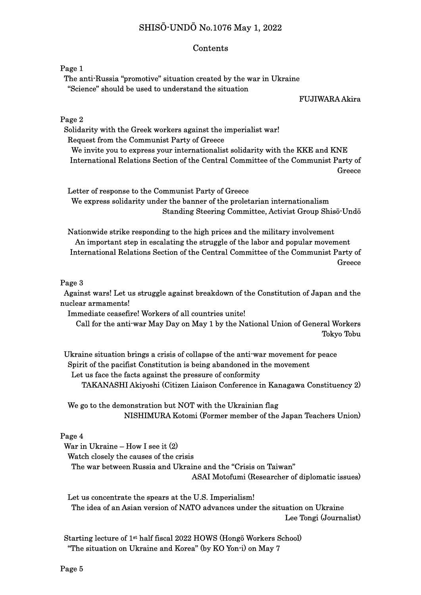# SHISŌ-UNDŌ No.1076 May 1, 2022

### Contents

Page 1

 The anti-Russia "promotive" situation created by the war in Ukraine "Science" should be used to understand the situation

FUJIWARA Akira

Page 2

 Solidarity with the Greek workers against the imperialist war! Request from the Communist Party of Greece We invite you to express your internationalist solidarity with the KKE and KNE International Relations Section of the Central Committee of the Communist Party of **Greece** 

 Letter of response to the Communist Party of Greece We express solidarity under the banner of the proletarian internationalism Standing Steering Committee, Activist Group Shisō-Undō

 Nationwide strike responding to the high prices and the military involvement An important step in escalating the struggle of the labor and popular movement International Relations Section of the Central Committee of the Communist Party of **Greece** 

#### Page 3

 Against wars! Let us struggle against breakdown of the Constitution of Japan and the nuclear armaments!

Immediate ceasefire! Workers of all countries unite!

Call for the anti-war May Day on May 1 by the National Union of General Workers Tokyo Tobu

 Ukraine situation brings a crisis of collapse of the anti-war movement for peace Spirit of the pacifist Constitution is being abandoned in the movement Let us face the facts against the pressure of conformity TAKANASHI Akiyoshi (Citizen Liaison Conference in Kanagawa Constituency 2)

 We go to the demonstration but NOT with the Ukrainian flag NISHIMURA Kotomi (Former member of the Japan Teachers Union)

#### Page 4

War in Ukraine – How I see it (2)

Watch closely the causes of the crisis

The war between Russia and Ukraine and the "Crisis on Taiwan"

ASAI Motofumi (Researcher of diplomatic issues)

 Let us concentrate the spears at the U.S. Imperialism! The idea of an Asian version of NATO advances under the situation on Ukraine Lee Tongi (Journalist)

Starting lecture of 1st half fiscal 2022 HOWS (Hongō Workers School) "The situation on Ukraine and Korea" (by KO Yon-i) on May 7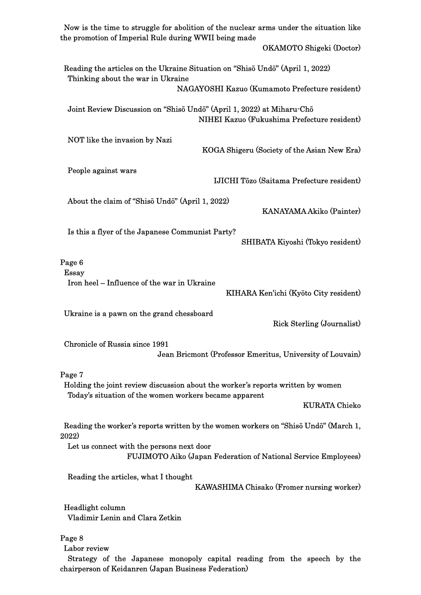| Now is the time to struggle for abolition of the nuclear arms under the situation like<br>the promotion of Imperial Rule during WWII being made     |
|-----------------------------------------------------------------------------------------------------------------------------------------------------|
| OKAMOTO Shigeki (Doctor)                                                                                                                            |
| Reading the articles on the Ukraine Situation on "Shisō Undō" (April 1, 2022)<br>Thinking about the war in Ukraine                                  |
| NAGAYOSHI Kazuo (Kumamoto Prefecture resident)                                                                                                      |
| Joint Review Discussion on "Shisō Undō" (April 1, 2022) at Miharu-Chō<br>NIHEI Kazuo (Fukushima Prefecture resident)                                |
| NOT like the invasion by Nazi<br>KOGA Shigeru (Society of the Asian New Era)                                                                        |
| People against wars<br><b>IJICHI Tōzo (Saitama Prefecture resident)</b>                                                                             |
| About the claim of "Shiso Undo" (April 1, 2022)<br>KANAYAMA Akiko (Painter)                                                                         |
| Is this a flyer of the Japanese Communist Party?<br>SHIBATA Kiyoshi (Tokyo resident)                                                                |
| Page 6<br>Essay                                                                                                                                     |
| Iron heel – Influence of the war in Ukraine<br>KIHARA Ken'ichi (Kyōto City resident)                                                                |
| Ukraine is a pawn on the grand chessboard<br><b>Rick Sterling (Journalist)</b>                                                                      |
| Chronicle of Russia since 1991<br>Jean Bricmont (Professor Emeritus, University of Louvain)                                                         |
| Page 7<br>Holding the joint review discussion about the worker's reports written by women<br>Today's situation of the women workers became apparent |
| <b>KURATA Chieko</b>                                                                                                                                |
| Reading the worker's reports written by the women workers on "Shisō Undō" (March 1,<br>2022)                                                        |
| Let us connect with the persons next door<br>FUJIMOTO Aiko (Japan Federation of National Service Employees)                                         |
| Reading the articles, what I thought<br>KAWASHIMA Chisako (Fromer nursing worker)                                                                   |
| Headlight column<br>Vladimir Lenin and Clara Zetkin                                                                                                 |
| Page 8<br>Labor review                                                                                                                              |
| Strategy of the Japanese monopoly capital reading from the speech by the<br>chairperson of Keidanren (Japan Business Federation)                    |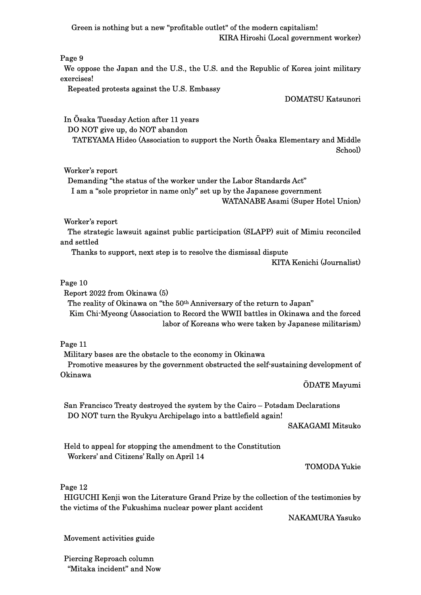Green is nothing but a new "profitable outlet" of the modern capitalism! KIRA Hiroshi (Local government worker)

Page 9

We oppose the Japan and the U.S., the U.S. and the Republic of Korea joint military exercises!

Repeated protests against the U.S. Embassy

DOMATSU Katsunori

 In Ōsaka Tuesday Action after 11 years DO NOT give up, do NOT abandon TATEYAMA Hideo (Association to support the North Ōsaka Elementary and Middle School)

Worker's report

 Demanding "the status of the worker under the Labor Standards Act" I am a "sole proprietor in name only" set up by the Japanese government WATANABE Asami (Super Hotel Union)

Worker's report

 The strategic lawsuit against public participation (SLAPP) suit of Mimiu reconciled and settled

Thanks to support, next step is to resolve the dismissal dispute

KITA Kenichi (Journalist)

## Page 10

Report 2022 from Okinawa (5)

 The reality of Okinawa on "the 50th Anniversary of the return to Japan" Kim Chi-Myeong (Association to Record the WWII battles in Okinawa and the forced labor of Koreans who were taken by Japanese militarism)

Page 11

 Military bases are the obstacle to the economy in Okinawa Promotive measures by the government obstructed the self-sustaining development of Okinawa

ŌDATE Mayumi

San Francisco Treaty destroyed the system by the Cairo – Potsdam Declarations DO NOT turn the Ryukyu Archipelago into a battlefield again!

SAKAGAMI Mitsuko

Held to appeal for stopping the amendment to the Constitution Workers' and Citizens' Rally on April 14

TOMODA Yukie

Page 12

 HIGUCHI Kenji won the Literature Grand Prize by the collection of the testimonies by the victims of the Fukushima nuclear power plant accident

NAKAMURA Yasuko

Movement activities guide

Piercing Reproach column "Mitaka incident" and Now